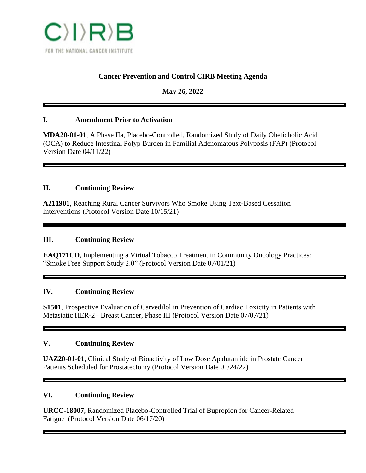

## **Cancer Prevention and Control CIRB Meeting Agenda**

**May 26, 2022**

### **I. Amendment Prior to Activation**

**MDA20-01-01**, A Phase IIa, Placebo-Controlled, Randomized Study of Daily Obeticholic Acid (OCA) to Reduce Intestinal Polyp Burden in Familial Adenomatous Polyposis (FAP) (Protocol Version Date 04/11/22)

### **II. Continuing Review**

**A211901**, Reaching Rural Cancer Survivors Who Smoke Using Text-Based Cessation Interventions (Protocol Version Date 10/15/21)

### **III. Continuing Review**

**EAQ171CD**, Implementing a Virtual Tobacco Treatment in Community Oncology Practices: "Smoke Free Support Study 2.0" (Protocol Version Date 07/01/21)

#### **IV. Continuing Review**

**S1501**, Prospective Evaluation of Carvedilol in Prevention of Cardiac Toxicity in Patients with Metastatic HER-2+ Breast Cancer, Phase III (Protocol Version Date 07/07/21)

## **V. Continuing Review**

**UAZ20-01-01**, Clinical Study of Bioactivity of Low Dose Apalutamide in Prostate Cancer Patients Scheduled for Prostatectomy (Protocol Version Date 01/24/22)

#### **VI. Continuing Review**

**URCC-18007**, Randomized Placebo-Controlled Trial of Bupropion for Cancer-Related Fatigue (Protocol Version Date 06/17/20)